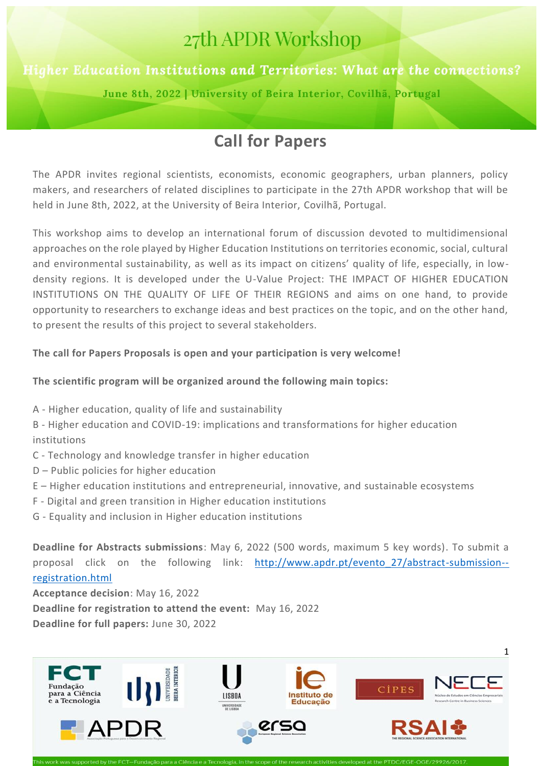# 27th APDR Workshop

# Higher Education Institutions and Territories: What are the connections?

June 8th, 2022 | University of Beira Interior, Covilhã, Portugal

# **Call for Papers**

The APDR invites regional scientists, economists, economic geographers, urban planners, policy makers, and researchers of related disciplines to participate in the 27th APDR workshop that will be held in June 8th, 2022, at the University of Beira Interior, Covilhã, Portugal.

This workshop aims to develop an international forum of discussion devoted to multidimensional approaches on the role played by Higher Education Institutions on territories economic, social, cultural and environmental sustainability, as well as its impact on citizens' quality of life, especially, in lowdensity regions. It is developed under the U-Value Project: THE IMPACT OF HIGHER EDUCATION INSTITUTIONS ON THE QUALITY OF LIFE OF THEIR REGIONS and aims on one hand, to provide opportunity to researchers to exchange ideas and best practices on the topic, and on the other hand, to present the results of this project to several stakeholders.

## **The call for Papers Proposals is open and your participation is very welcome!**

## **The scientific program will be organized around the following main topics:**

A - Higher education, quality of life and sustainability

B - Higher education and COVID-19: implications and transformations for higher education institutions

- C Technology and knowledge transfer in higher education
- D Public policies for higher education
- E Higher education institutions and entrepreneurial, innovative, and sustainable ecosystems
- F Digital and green transition in Higher education institutions
- G Equality and inclusion in Higher education institutions

**Deadline for Abstracts submissions**: May 6, 2022 (500 words, maximum 5 key words). To submit a proposal click on the following link: [http://www.apdr.pt/evento\\_27/abstract-submission-](http://www.apdr.pt/evento_27/abstract-submission--registration.html) [registration.html](http://www.apdr.pt/evento_27/abstract-submission--registration.html)

**Acceptance decision**: May 16, 2022 **Deadline for registration to attend the event:** May 16, 2022 **Deadline for full papers:** June 30, 2022